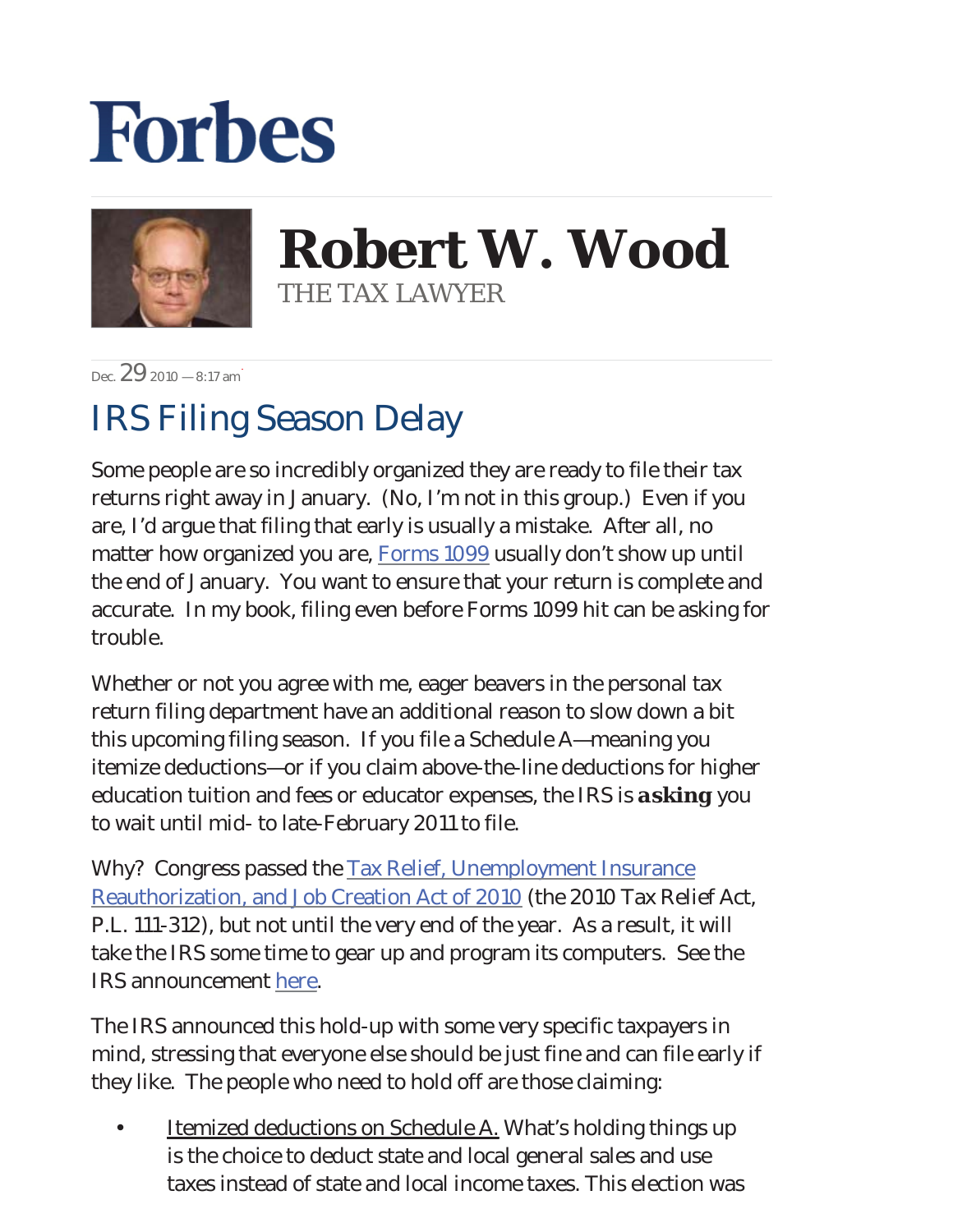## **Forbes**



**Robert W. Wood** THE TAX LAWYER

 $\frac{29}{2010} - 8.17$  am

## IRS Filing Season Delay

Some people are so incredibly organized they are ready to file their tax returns right away in January. (No, I'm not in this group.) Even if you are, I'd argue that filing that early is usually a mistake. After all, no matter how organized you are, **Forms 1099** usually don't show up until the end of January. You want to ensure that your return is complete and accurate. In my book, filing even before Forms 1099 hit can be asking for trouble.

Whether or not you agree with me, eager beavers in the personal tax return filing department have an additional reason to slow down a bit this upcoming filing season. If you file a Schedule A—meaning you itemize deductions—or if you claim above-the-line deductions for higher education tuition and fees or educator expenses, the IRS is *asking* you to wait until mid- to late-February 2011 to file.

Why? Congress passed the [Tax Relief, Unemployment Insurance](http://www.gpo.gov/fdsys/pkg/BILLS-111hr4853enr/pdf/BILLS-111hr4853enr.pdf) [Reauthorization, and Job Creation Act of 2010](http://www.gpo.gov/fdsys/pkg/BILLS-111hr4853enr/pdf/BILLS-111hr4853enr.pdf) (the 2010 Tax Relief Act, P.L. 111-312), but not until the very end of the year. As a result, it will take the IRS some time to gear up and program its computers. See the IRS announcement [here](http://www.irs.gov/newsroom/article/0,,id=233449,00.html).

The IRS announced this hold-up with some very specific taxpayers in mind, stressing that everyone else should be just fine and can file early if they like. The people who need to hold off are those claiming:

Itemized deductions on Schedule A. What's holding things up is the choice to deduct state and local general sales and use taxes instead of state and local income taxes. This election was •